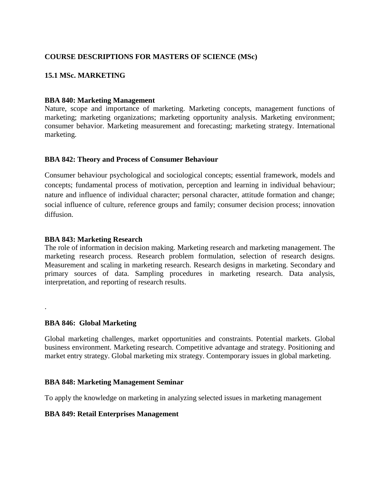# **COURSE DESCRIPTIONS FOR MASTERS OF SCIENCE (MSc)**

# **15.1 MSc. MARKETING**

### **BBA 840: Marketing Management**

Nature, scope and importance of marketing. Marketing concepts, management functions of marketing; marketing organizations; marketing opportunity analysis. Marketing environment; consumer behavior. Marketing measurement and forecasting; marketing strategy. International marketing.

### **BBA 842: Theory and Process of Consumer Behaviour**

Consumer behaviour psychological and sociological concepts; essential framework, models and concepts; fundamental process of motivation, perception and learning in individual behaviour; nature and influence of individual character; personal character, attitude formation and change; social influence of culture, reference groups and family; consumer decision process; innovation diffusion.

### **BBA 843: Marketing Research**

The role of information in decision making. Marketing research and marketing management. The marketing research process. Research problem formulation, selection of research designs. Measurement and scaling in marketing research. Research designs in marketing. Secondary and primary sources of data. Sampling procedures in marketing research. Data analysis, interpretation, and reporting of research results.

### **BBA 846: Global Marketing**

.

Global marketing challenges, market opportunities and constraints. Potential markets. Global business environment. Marketing research. Competitive advantage and strategy. Positioning and market entry strategy. Global marketing mix strategy. Contemporary issues in global marketing.

### **BBA 848: Marketing Management Seminar**

To apply the knowledge on marketing in analyzing selected issues in marketing management

### **BBA 849: Retail Enterprises Management**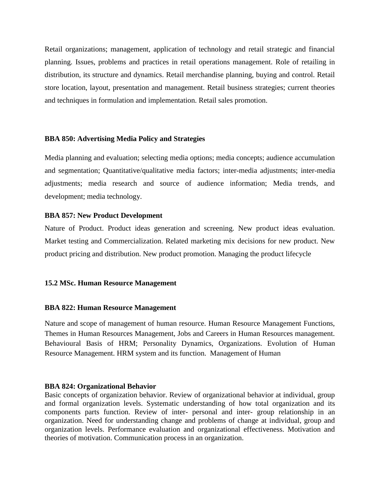Retail organizations; management, application of technology and retail strategic and financial planning. Issues, problems and practices in retail operations management. Role of retailing in distribution, its structure and dynamics. Retail merchandise planning, buying and control. Retail store location, layout, presentation and management. Retail business strategies; current theories and techniques in formulation and implementation. Retail sales promotion.

### **BBA 850: Advertising Media Policy and Strategies**

Media planning and evaluation; selecting media options; media concepts; audience accumulation and segmentation; Quantitative/qualitative media factors; inter-media adjustments; inter-media adjustments; media research and source of audience information; Media trends, and development; media technology.

### **BBA 857: New Product Development**

Nature of Product. Product ideas generation and screening. New product ideas evaluation. Market testing and Commercialization. Related marketing mix decisions for new product. New product pricing and distribution. New product promotion. Managing the product lifecycle

## **15.2 MSc. Human Resource Management**

### **BBA 822: Human Resource Management**

Nature and scope of management of human resource. Human Resource Management Functions, Themes in Human Resources Management, Jobs and Careers in Human Resources management. Behavioural Basis of HRM; Personality Dynamics, Organizations. Evolution of Human Resource Management. HRM system and its function. Management of Human

### **BBA 824: Organizational Behavior**

Basic concepts of organization behavior. Review of organizational behavior at individual, group and formal organization levels. Systematic understanding of how total organization and its components parts function. Review of inter- personal and inter- group relationship in an organization. Need for understanding change and problems of change at individual, group and organization levels. Performance evaluation and organizational effectiveness. Motivation and theories of motivation. Communication process in an organization.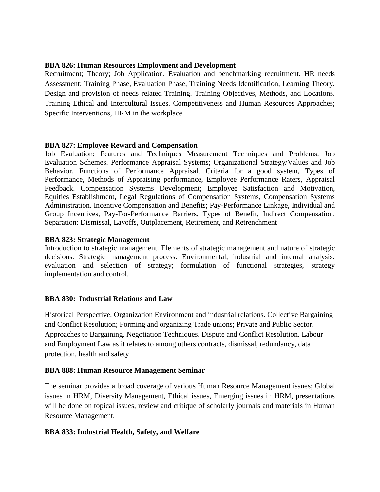# **BBA 826: Human Resources Employment and Development**

Recruitment; Theory; Job Application, Evaluation and benchmarking recruitment. HR needs Assessment; Training Phase, Evaluation Phase, Training Needs Identification, Learning Theory. Design and provision of needs related Training. Training Objectives, Methods, and Locations. Training Ethical and Intercultural Issues. Competitiveness and Human Resources Approaches; Specific Interventions, HRM in the workplace

## **BBA 827: Employee Reward and Compensation**

Job Evaluation; Features and Techniques Measurement Techniques and Problems. Job Evaluation Schemes. Performance Appraisal Systems; Organizational Strategy/Values and Job Behavior, Functions of Performance Appraisal, Criteria for a good system, Types of Performance, Methods of Appraising performance, Employee Performance Raters, Appraisal Feedback. Compensation Systems Development; Employee Satisfaction and Motivation, Equities Establishment, Legal Regulations of Compensation Systems, Compensation Systems Administration. Incentive Compensation and Benefits; Pay-Performance Linkage, Individual and Group Incentives, Pay-For-Performance Barriers, Types of Benefit, Indirect Compensation. Separation: Dismissal, Layoffs, Outplacement, Retirement, and Retrenchment

## **BBA 823: Strategic Management**

Introduction to strategic management. Elements of strategic management and nature of strategic decisions. Strategic management process. Environmental, industrial and internal analysis: evaluation and selection of strategy; formulation of functional strategies, strategy implementation and control.

# **BBA 830: Industrial Relations and Law**

Historical Perspective. Organization Environment and industrial relations. Collective Bargaining and Conflict Resolution; Forming and organizing Trade unions; Private and Public Sector. Approaches to Bargaining. Negotiation Techniques. Dispute and Conflict Resolution. Labour and Employment Law as it relates to among others contracts, dismissal, redundancy, data protection, health and safety

## **BBA 888: Human Resource Management Seminar**

The seminar provides a broad coverage of various Human Resource Management issues; Global issues in HRM, Diversity Management, Ethical issues, Emerging issues in HRM, presentations will be done on topical issues, review and critique of scholarly journals and materials in Human Resource Management.

## **BBA 833: Industrial Health, Safety, and Welfare**